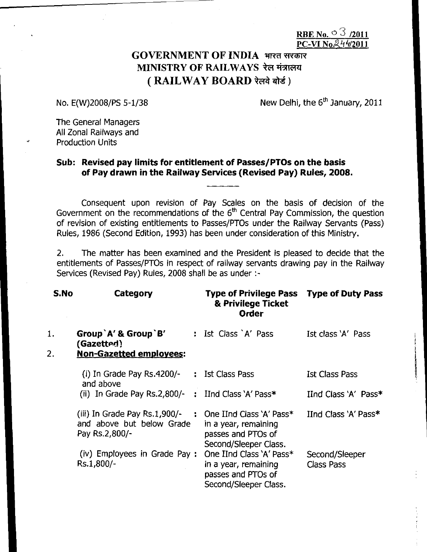RBE No.  $0^{\circ}$  3 /2011  $PC-VI$  No.  $24\sqrt{420}$ 

# GOVERNMENT OF INDIA भारत सरकार MINISTRY OF RAILWAYS रेल मंत्रालय ( RAILWAY BOARD रेलवे बोर्ड)

No.  $E(W)$ 2008/PS 5-1/38 New Delhi, the 6<sup>th</sup> January, 2011

The General Managers All Zonal Railways and Production Units

### **Sub: Revised pay limits for entitlement of Passes/PTOs on the basis of Pay drawn in the Railway Services (Revised Pay) Rules, 2008.**

Consequent upon revision of Pay Scales on the basis of decision of the Government on the recommendations of the  $6<sup>th</sup>$  Central Pay Commission, the question of revision of existing entitlements to Passes/PTOs under the Railway Servants (Pass) Rules, 1986 (Second Edition, 1993) has been under consideration of this Ministry.

2. The matter has been examined and the President is pleased to decide that the entitlements of Passes/PTOs in respect of railway servants drawing pay in the Railway Services (Revised Pay) Rules, 2008 shall be as under :-

| S.No | Category                                                                     | Type of Privilege Pass Type of Duty Pass<br>& Privilege Ticket<br><b>Order</b>                         |                                     |
|------|------------------------------------------------------------------------------|--------------------------------------------------------------------------------------------------------|-------------------------------------|
| 1.   | Group `A' & Group `B'<br>(Gazetted)                                          | : Ist Class `A' Pass                                                                                   | Ist class 'A' Pass                  |
| 2.   | <b>Non-Gazetted employees:</b>                                               |                                                                                                        |                                     |
|      | (i) In Grade Pay Rs.4200/-<br>and above                                      | : Ist Class Pass                                                                                       | <b>Ist Class Pass</b>               |
|      | (ii) In Grade Pay Rs.2,800/- $\div$ IInd Class `A' Pass*                     |                                                                                                        | IInd Class 'A' Pass*                |
|      | (iii) In Grade Pay Rs.1,900/-<br>and above but below Grade<br>Pay Rs.2,800/- | : One IInd Class $'A'$ Pass $*$<br>in a year, remaining<br>passes and PTOs of<br>Second/Sleeper Class. | IInd Class 'A' Pass*                |
|      | (iv) Employees in Grade Pay:<br>Rs.1.800/-                                   | One IInd Class 'A' Pass*<br>in a year, remaining<br>passes and PTOs of<br>Second/Sleeper Class.        | Second/Sleeper<br><b>Class Pass</b> |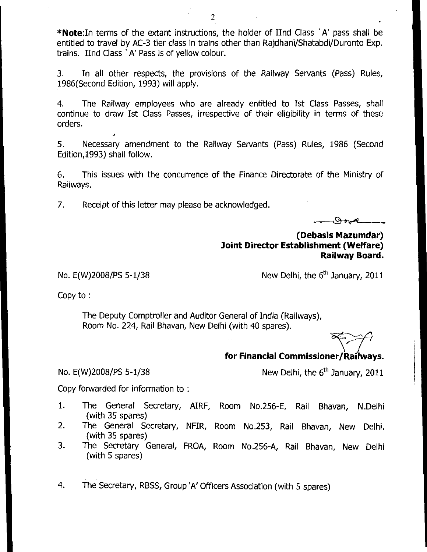\*Note:In terms of the extant instructions, the holder of IInd Class 'A' pass shall be entitled to travel by AC-3 tier class in trains other than Rajdhani/Shatabdi/Duronto Exp. trains. IInd Class `A' Pass is of yellow colour.

3. In all other respects, the provisions of the Railway Servants (Pass) Rules, 1986(Second Edition, 1993) will apply.

4. The Railway employees who are already entitled to Ist Class Passes, shall continue to draw Ist Class Passes, irrespective of their eligibility in terms of these orders.

5. Necessary amendment to the Railway Servants (Pass) Rules, 1986 (Second Edition,1993) shall follow.

6. This issues with the concurrence of the Finance Directorate of the Ministry of Railways.

7. Receipt of this letter may please be acknowledged.

r Promon

**(Debasis Mazumdar) Joint Director Establishment (Welfare) Railway Board.** 

No. E(W)2008/PS 5-1/38

New Delhi, the  $6<sup>th</sup>$  January, 2011

Copy to :

The Deputy Comptroller and Auditor General of India (Railways), Room No. 224, Rail Bhavan, New Delhi (with 40 spares).

### **for Financial Commissioner/Railways.**

No.  $E(W)$ 2008/PS 5-1/38 New Delhi, the  $6<sup>th</sup>$  January, 2011

Copy forwarded for information to :

- 1. The General Secretary, AIRF, Room No.256-E, Rail Bhavan, N.Delhi (with 35 spares)
- 2. The General Secretary, NFIR, Room No.253, Rail Bhavan, New Delhi. (with 35 spares)
- 3. The Secretary General, FROA, Room No.256-A, Rail Bhavan, New Delhi (with 5 spares)
- 4. The Secretary, RBSS, Group 'A' Officers Association (with 5 spares)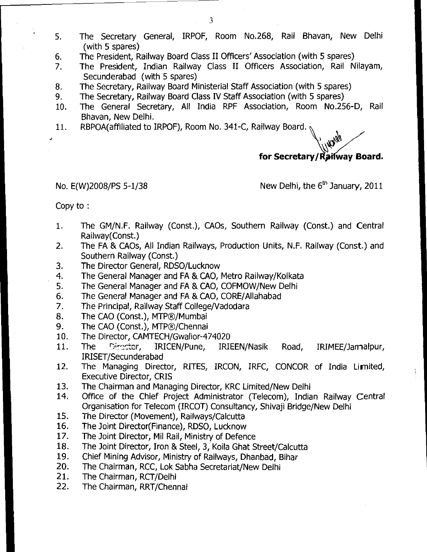- 5. The Secretary General, IRPOF, Room No.268, Rail Bhavan, New Delhi (with 5 spares)
- 6. The President, Railway Board Class II Officers' Association (with 5 spares)
- 7. The President, Indian Railway Class II Officers Association, Rail Nilayam, Secunderabad (with 5 spares)
- 8. The Secretary, Railway Board Ministerial Staff Association (with 5 spares)
- 9. The Secretary, Railway Board Class IV Staff Association (with 5 spares)
- 10. The General Secretary, All India RPF Association, Room No.256-D, Rail Bhavan, New Delhi.
- 11. RBPOA(affiliated to IRPOF), Room No. 341-C, Railway Board.

**Hard's** 

## for Secretary/Railway Board.

No.  $E(W)$ 2008/PS 5-1/38 New Delhi, the  $6<sup>th</sup>$  January, 2011

Copy to :

- 1. The GM/N.F. Railway (Const.), CAOs, Southern Railway (Const.) and Central Railway(Const.)
- 2. The FA & CA0s, All Indian Railways, Production Units, N.F. Railway (Const.) and Southern Railway (Const.)
- 3. The Director General, RDSO/Lucknow
- 4. The General Manager and FA & CAO, Metro Railway/Kolkata
- 5. The General Manager and FA & CAO, COFMOW/New Delhi
- 6. The General Manager and FA & CAO, CORE/Allahabad
- 7. The Principal, Railway Staff College/Vadodara
- 8. The CAO (Const.), MTP®/Mumbai
- 9. The CAO (Const.), MTP®/Chennai
- 10. The Director, CAMTECH/Gwalior-474020
- 11. The Director, IRICEN/Pune, IRIEEN/Nasik Road, IRIMEE/Jamalpur, IRISET/Secunderabad
- 12. The Managing Director, RITES, IRCON, IRFC, CONCOR of India Limited, Executive Director, CRIS
- 13. The Chairman and Managing Director, KRC Limited/New Delhi
- 14. Office of the Chief Project Administrator (Telecom), Indian Railway Central Organisation for Telecom (IRCOT) Consultancy, Shivaji Bridge/New Delhi
- 15. The Director (Movement), Railways/Calcutta
- 16. The Joint Director(Finance), RDSO, Lucknow
- 17. The Joint Director, Mil Rail, Ministry of Defence
- 18. The Joint Director, Iron & Steel, 3, Koila Ghat Street/Calcutta
- 19. Chief Mining Advisor, Ministry of Railways, Dhanbad, Bihar
- 20. The Chairman, RCC, Lok Sabha Secretariat/New Delhi
- 21. The Chairman, RCT/Delhi
- 22. The Chairman, RRT/Chennai

3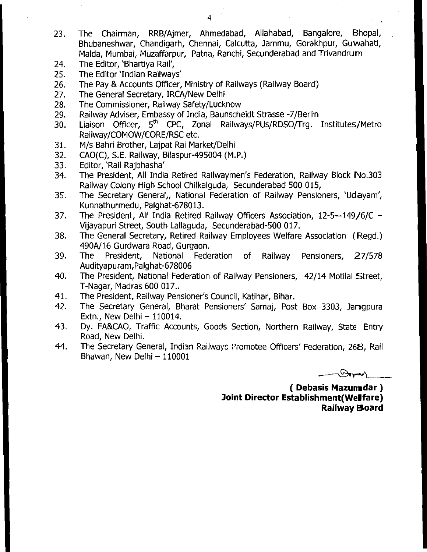- 23. The Chairman, RRB/Ajmer, Ahmedabad, Allahabad, Bangalore, Bhopal, Bhubaneshwar, Chandigarh, Chennai, Calcutta, Jammu, Gorakhpur, Guwahati, Malda, Mumbai, Muzaffarpur, Patna, Ranchi, Secunderabad and Trivandrum
- 24. The Editor, 'Bhartiya Rail',
- 25. The Editor 'Indian Railways'
- 26. The Pay & Accounts Officer, Ministry of Railways (Railway Board)
- 27. The General Secretary, IRCA/New Delhi
- 28. The Commissioner, Railway Safety/Lucknow
- 29. Railway Adviser, Embassy of India, Baunscheidt Strasse -7/Berlin
- 30. Liaison Officer, 5<sup>th</sup> CPC, Zonal Railways/PUs/RDSO/Trg. Institutes/Metro Railway/COMOW/CORE/RSC etc.
- 31. M/s Bahri Brother, Lajpat Rai Market/Delhi
- 32. CAO(C), S.E. Railway, Bilaspur-495004 (M.P.)
- 33. Editor, 'Rail Rajbhasha'
- 34. The President, All India Retired Railwaymen's Federation, Railway Block No.303 Railway Colony High School Chilkalguda, Secunderabad 500 015,
- 35. The Secretary General,, National Federation of Railway Pensioners, 'Udayam', Kunnathurmedu, Palghat-678013.
- 37. The President, All India Retired Railway Officers Association, 12-5-149/6/C Vijayapuri Street, South Lallaguda, Secunderabad-500 017.
- 38. The General Secretary, Retired Railway Employees Welfare Association (Regd.) 490A/16 Gurdwara Road, Gurgaon.
- 39. The President, National Federation of Railway Pensioners, 27/578 Audityapuram,Palghat-678006
- 40. The President, National Federation of Railway Pensioners, 42/14 Motilal Street, T-Nagar, Madras 600 017..
- 41. The President, Railway Pensioner's Council, Katihar, Bihar.
- 42. The Secretary General, Bharat Pensioners' Samaj, Post Box 3303, Jangpura Extn., New Delhi – 110014.
- 43. Dy. FA&CAO, Traffic Accounts, Goods Section, Northern Railway, State Entry Road, New Delhi.
- 44. The Secretary General, Indian Railways Promotee Officers' Federation, 268, Rail Bhawan, New Delhi – 110001

**----atrad** 

**( Debasis Mazundar ) Joint Director Establishment( Welfare) Railway Board**